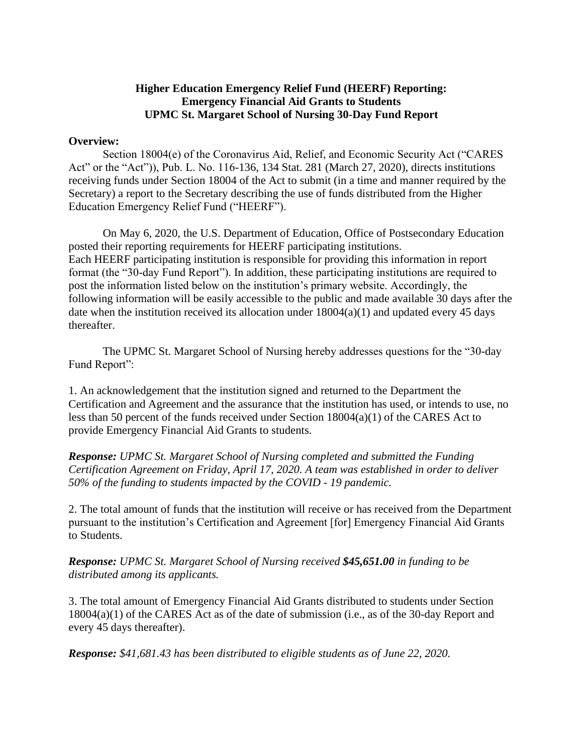## **Higher Education Emergency Relief Fund (HEERF) Reporting: Emergency Financial Aid Grants to Students UPMC St. Margaret School of Nursing 30-Day Fund Report**

## **Overview:**

Section 18004(e) of the Coronavirus Aid, Relief, and Economic Security Act ("CARES Act" or the "Act")), Pub. L. No. 116-136, 134 Stat. 281 (March 27, 2020), directs institutions receiving funds under Section 18004 of the Act to submit (in a time and manner required by the Secretary) a report to the Secretary describing the use of funds distributed from the Higher Education Emergency Relief Fund ("HEERF").

On May 6, 2020, the U.S. Department of Education, Office of Postsecondary Education posted their reporting requirements for HEERF participating institutions. Each HEERF participating institution is responsible for providing this information in report format (the "30-day Fund Report"). In addition, these participating institutions are required to post the information listed below on the institution's primary website. Accordingly, the following information will be easily accessible to the public and made available 30 days after the date when the institution received its allocation under  $18004(a)(1)$  and updated every 45 days thereafter.

The UPMC St. Margaret School of Nursing hereby addresses questions for the "30-day Fund Report":

1. An acknowledgement that the institution signed and returned to the Department the Certification and Agreement and the assurance that the institution has used, or intends to use, no less than 50 percent of the funds received under Section 18004(a)(1) of the CARES Act to provide Emergency Financial Aid Grants to students.

*Response: UPMC St. Margaret School of Nursing completed and submitted the Funding Certification Agreement on Friday, April 17, 2020. A team was established in order to deliver 50% of the funding to students impacted by the COVID - 19 pandemic.* 

2. The total amount of funds that the institution will receive or has received from the Department pursuant to the institution's Certification and Agreement [for] Emergency Financial Aid Grants to Students.

## *Response: UPMC St. Margaret School of Nursing received \$45,651.00 in funding to be distributed among its applicants.*

3. The total amount of Emergency Financial Aid Grants distributed to students under Section 18004(a)(1) of the CARES Act as of the date of submission (i.e., as of the 30-day Report and every 45 days thereafter).

*Response: \$41,681.43 has been distributed to eligible students as of June 22, 2020.*